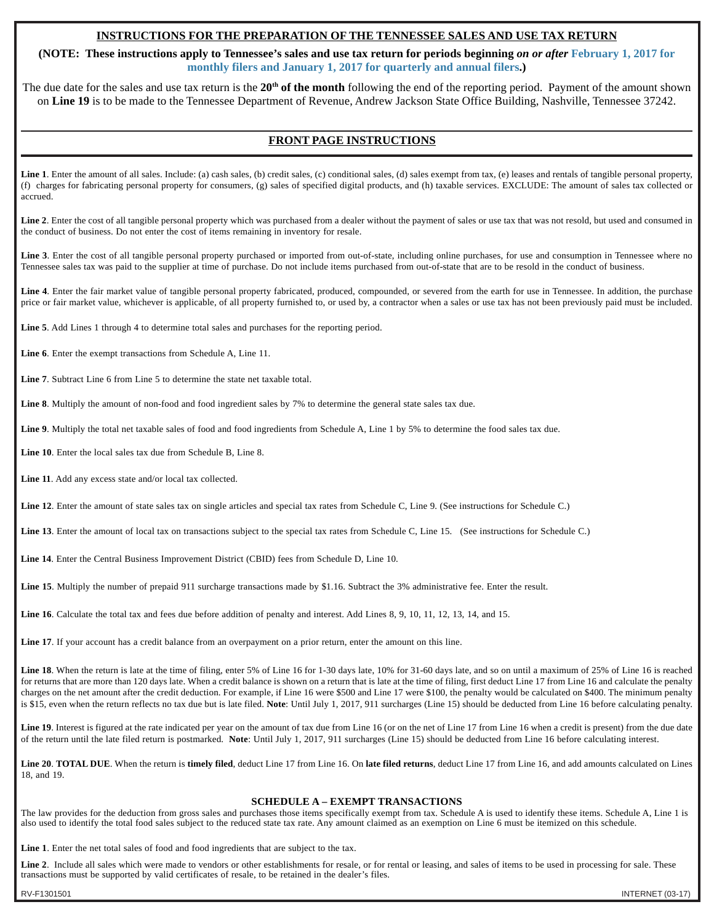# **INSTRUCTIONS FOR THE PREPARATION OF THE TENNESSEE SALES AND USE TAX RETURN**

**(NOTE: These instructions apply to Tennessee's sales and use tax return for periods beginning** *on or after* **February 1, 2017 for monthly filers and January 1, 2017 for quarterly and annual filers.)**

The due date for the sales and use tax return is the 20<sup>th</sup> of the month following the end of the reporting period. Payment of the amount shown on **Line 19** is to be made to the Tennessee Department of Revenue, Andrew Jackson State Office Building, Nashville, Tennessee 37242.

## **FRONT PAGE INSTRUCTIONS**

Line 1. Enter the amount of all sales. Include: (a) cash sales, (b) credit sales, (c) conditional sales, (d) sales exempt from tax, (e) leases and rentals of tangible personal property, (f) charges for fabricating personal property for consumers, (g) sales of specified digital products, and (h) taxable services. EXCLUDE: The amount of sales tax collected or accrued.

Line 2. Enter the cost of all tangible personal property which was purchased from a dealer without the payment of sales or use tax that was not resold, but used and consumed in the conduct of business. Do not enter the cost of items remaining in inventory for resale.

**Line 3**. Enter the cost of all tangible personal property purchased or imported from out-of-state, including online purchases, for use and consumption in Tennessee where no Tennessee sales tax was paid to the supplier at time of purchase. Do not include items purchased from out-of-state that are to be resold in the conduct of business.

Line 4. Enter the fair market value of tangible personal property fabricated, produced, compounded, or severed from the earth for use in Tennessee. In addition, the purchase price or fair market value, whichever is applicable, of all property furnished to, or used by, a contractor when a sales or use tax has not been previously paid must be included.

**Line 5**. Add Lines 1 through 4 to determine total sales and purchases for the reporting period.

**Line 6**. Enter the exempt transactions from Schedule A, Line 11.

**Line 7**. Subtract Line 6 from Line 5 to determine the state net taxable total.

**Line 8**. Multiply the amount of non-food and food ingredient sales by 7% to determine the general state sales tax due.

**Line 9**. Multiply the total net taxable sales of food and food ingredients from Schedule A, Line 1 by 5% to determine the food sales tax due.

**Line 10**. Enter the local sales tax due from Schedule B, Line 8.

**Line 11**. Add any excess state and/or local tax collected.

**Line 12**. Enter the amount of state sales tax on single articles and special tax rates from Schedule C, Line 9. (See instructions for Schedule C.)

Line 13. Enter the amount of local tax on transactions subject to the special tax rates from Schedule C, Line 15. (See instructions for Schedule C.)

**Line 14**. Enter the Central Business Improvement District (CBID) fees from Schedule D, Line 10.

**Line 15**. Multiply the number of prepaid 911 surcharge transactions made by \$1.16. Subtract the 3% administrative fee. Enter the result.

**Line 16**. Calculate the total tax and fees due before addition of penalty and interest. Add Lines 8, 9, 10, 11, 12, 13, 14, and 15.

**Line 17**. If your account has a credit balance from an overpayment on a prior return, enter the amount on this line.

Line 18. When the return is late at the time of filing, enter 5% of Line 16 for 1-30 days late, 10% for 31-60 days late, and so on until a maximum of 25% of Line 16 is reached for returns that are more than 120 days late. When a credit balance is shown on a return that is late at the time of filing, first deduct Line 17 from Line 16 and calculate the penalty charges on the net amount after the credit deduction. For example, if Line 16 were \$500 and Line 17 were \$100, the penalty would be calculated on \$400. The minimum penalty is \$15, even when the return reflects no tax due but is late filed. **Note**: Until July 1, 2017, 911 surcharges (Line 15) should be deducted from Line 16 before calculating penalty.

Line 19. Interest is figured at the rate indicated per year on the amount of tax due from Line 16 (or on the net of Line 17 from Line 16 when a credit is present) from the due date of the return until the late filed return is postmarked. **Note**: Until July 1, 2017, 911 surcharges (Line 15) should be deducted from Line 16 before calculating interest.

**Line 20**. **TOTAL DUE**. When the return is **timely filed**, deduct Line 17 from Line 16. On **late filed returns**, deduct Line 17 from Line 16, and add amounts calculated on Lines 18, and 19.

## **SCHEDULE A – EXEMPT TRANSACTIONS**

The law provides for the deduction from gross sales and purchases those items specifically exempt from tax. Schedule A is used to identify these items. Schedule A, Line 1 is also used to identify the total food sales subject to the reduced state tax rate. Any amount claimed as an exemption on Line 6 must be itemized on this schedule.

**Line 1**. Enter the net total sales of food and food ingredients that are subject to the tax.

Line 2. Include all sales which were made to vendors or other establishments for resale, or for rental or leasing, and sales of items to be used in processing for sale. These transactions must be supported by valid certificates of resale, to be retained in the dealer's files.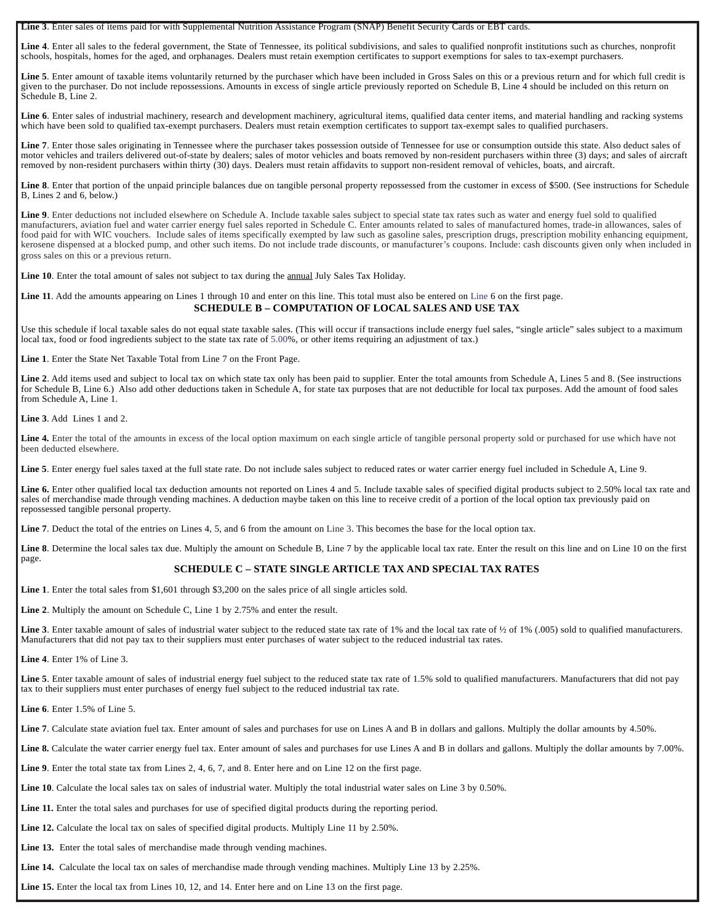**Line 3**. Enter sales of items paid for with Supplemental Nutrition Assistance Program (SNAP) Benefit Security Cards or EBT cards.

**Line 4**. Enter all sales to the federal government, the State of Tennessee, its political subdivisions, and sales to qualified nonprofit institutions such as churches, nonprofit schools, hospitals, homes for the aged, and orphanages. Dealers must retain exemption certificates to support exemptions for sales to tax-exempt purchasers.

Line 5. Enter amount of taxable items voluntarily returned by the purchaser which have been included in Gross Sales on this or a previous return and for which full credit is given to the purchaser. Do not include repossessions. Amounts in excess of single article previously reported on Schedule B, Line 4 should be included on this return on Schedule B, Line 2.

Line 6. Enter sales of industrial machinery, research and development machinery, agricultural items, qualified data center items, and material handling and racking systems which have been sold to qualified tax-exempt purchasers. Dealers must retain exemption certificates to support tax-exempt sales to qualified purchasers.

Line 7. Enter those sales originating in Tennessee where the purchaser takes possession outside of Tennessee for use or consumption outside this state. Also deduct sales of motor vehicles and trailers delivered out-of-state by dealers; sales of motor vehicles and boats removed by non-resident purchasers within three (3) days; and sales of aircraft removed by non-resident purchasers within thirty (30) days. Dealers must retain affidavits to support non-resident removal of vehicles, boats, and aircraft.

Line 8. Enter that portion of the unpaid principle balances due on tangible personal property repossessed from the customer in excess of \$500. (See instructions for Schedule B, Lines 2 and 6, below.)

**Line 9**. Enter deductions not included elsewhere on Schedule A. Include taxable sales subject to special state tax rates such as water and energy fuel sold to qualified manufacturers, aviation fuel and water carrier energy fuel sales reported in Schedule C. Enter amounts related to sales of manufactured homes, trade-in allowances, sales of food paid for with WIC vouchers. Include sales of items specifically exempted by law such as gasoline sales, prescription drugs, prescription mobility enhancing equipment, kerosene dispensed at a blocked pump, and other such items. Do not include trade discounts, or manufacturer's coupons. Include: cash discounts given only when included in gross sales on this or a previous return.

**Line 10**. Enter the total amount of sales not subject to tax during the annual July Sales Tax Holiday.

#### **Line 11**. Add the amounts appearing on Lines 1 through 10 and enter on this line. This total must also be entered on Line 6 on the first page. **SCHEDULE B – COMPUTATION OF LOCAL SALES AND USE TAX**

Use this schedule if local taxable sales do not equal state taxable sales. (This will occur if transactions include energy fuel sales, "single article" sales subject to a maximum local tax, food or food ingredients subject to the state tax rate of 5.00%, or other items requiring an adjustment of tax.)

**Line 1**. Enter the State Net Taxable Total from Line 7 on the Front Page.

Line 2. Add items used and subject to local tax on which state tax only has been paid to supplier. Enter the total amounts from Schedule A, Lines 5 and 8. (See instructions for Schedule B, Line 6.) Also add other deductions taken in Schedule A, for state tax purposes that are not deductible for local tax purposes. Add the amount of food sales from Schedule A, Line 1.

**Line 3**. Add Lines 1 and 2.

Line 4. Enter the total of the amounts in excess of the local option maximum on each single article of tangible personal property sold or purchased for use which have not been deducted elsewhere.

Line 5. Enter energy fuel sales taxed at the full state rate. Do not include sales subject to reduced rates or water carrier energy fuel included in Schedule A, Line 9.

Line 6. Enter other qualified local tax deduction amounts not reported on Lines 4 and 5. Include taxable sales of specified digital products subject to 2.50% local tax rate and sales of merchandise made through vending machines. A deduction maybe taken on this line to receive credit of a portion of the local option tax previously paid on repossessed tangible personal property.

Line 7. Deduct the total of the entries on Lines 4, 5, and 6 from the amount on Line 3. This becomes the base for the local option tax.

Line 8. Determine the local sales tax due. Multiply the amount on Schedule B, Line 7 by the applicable local tax rate. Enter the result on this line and on Line 10 on the first page.

## **SCHEDULE C – STATE SINGLE ARTICLE TAX AND SPECIAL TAX RATES**

**Line 1**. Enter the total sales from \$1,601 through \$3,200 on the sales price of all single articles sold.

**Line 2**. Multiply the amount on Schedule C, Line 1 by 2.75% and enter the result.

Line 3. Enter taxable amount of sales of industrial water subject to the reduced state tax rate of 1% and the local tax rate of ½ of 1% (.005) sold to qualified manufacturers. Manufacturers that did not pay tax to their suppliers must enter purchases of water subject to the reduced industrial tax rates.

**Line 4**. Enter 1% of Line 3.

Line 5. Enter taxable amount of sales of industrial energy fuel subject to the reduced state tax rate of 1.5% sold to qualified manufacturers. Manufacturers that did not pay tax to their suppliers must enter purchases of energy fuel subject to the reduced industrial tax rate.

**Line 6**. Enter 1.5% of Line 5.

Line 7. Calculate state aviation fuel tax. Enter amount of sales and purchases for use on Lines A and B in dollars and gallons. Multiply the dollar amounts by 4.50%.

Line 8. Calculate the water carrier energy fuel tax. Enter amount of sales and purchases for use Lines A and B in dollars and gallons. Multiply the dollar amounts by 7.00%.

**Line 9**. Enter the total state tax from Lines 2, 4, 6, 7, and 8. Enter here and on Line 12 on the first page.

**Line 10**. Calculate the local sales tax on sales of industrial water. Multiply the total industrial water sales on Line 3 by 0.50%.

**Line 11.** Enter the total sales and purchases for use of specified digital products during the reporting period.

**Line 12.** Calculate the local tax on sales of specified digital products. Multiply Line 11 by 2.50%.

Line 13. Enter the total sales of merchandise made through vending machines.

**Line 14.** Calculate the local tax on sales of merchandise made through vending machines. Multiply Line 13 by 2.25%.

**Line 15.** Enter the local tax from Lines 10, 12, and 14. Enter here and on Line 13 on the first page.